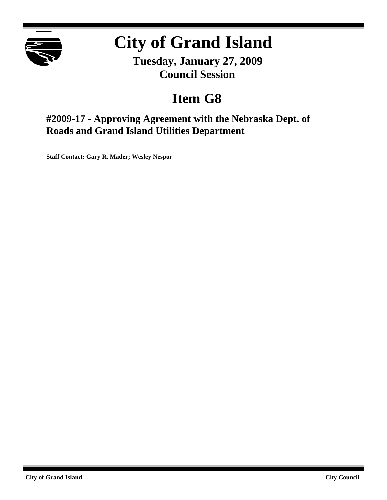

# **City of Grand Island**

**Tuesday, January 27, 2009 Council Session**

## **Item G8**

**#2009-17 - Approving Agreement with the Nebraska Dept. of Roads and Grand Island Utilities Department**

**Staff Contact: Gary R. Mader; Wesley Nespor**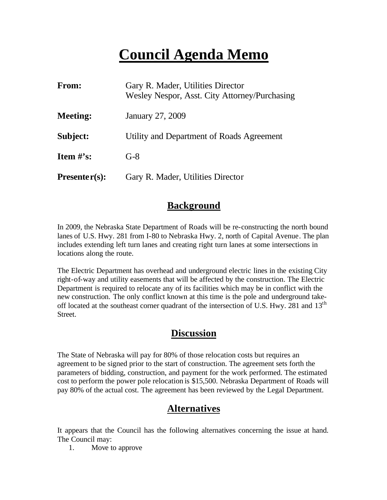## **Council Agenda Memo**

| From:           | Gary R. Mader, Utilities Director<br>Wesley Nespor, Asst. City Attorney/Purchasing |  |  |
|-----------------|------------------------------------------------------------------------------------|--|--|
| <b>Meeting:</b> | January 27, 2009                                                                   |  |  |
| Subject:        | Utility and Department of Roads Agreement                                          |  |  |
| Item $\#$ 's:   | $G-8$                                                                              |  |  |
| $Presenter(s):$ | Gary R. Mader, Utilities Director                                                  |  |  |

#### **Background**

In 2009, the Nebraska State Department of Roads will be re-constructing the north bound lanes of U.S. Hwy. 281 from I-80 to Nebraska Hwy. 2, north of Capital Avenue. The plan includes extending left turn lanes and creating right turn lanes at some intersections in locations along the route.

The Electric Department has overhead and underground electric lines in the existing City right-of-way and utility easements that will be affected by the construction. The Electric Department is required to relocate any of its facilities which may be in conflict with the new construction. The only conflict known at this time is the pole and underground takeoff located at the southeast corner quadrant of the intersection of U.S. Hwy. 281 and 13<sup>th</sup> Street.

#### **Discussion**

The State of Nebraska will pay for 80% of those relocation costs but requires an agreement to be signed prior to the start of construction. The agreement sets forth the parameters of bidding, construction, and payment for the work performed. The estimated cost to perform the power pole relocation is \$15,500. Nebraska Department of Roads will pay 80% of the actual cost. The agreement has been reviewed by the Legal Department.

### **Alternatives**

It appears that the Council has the following alternatives concerning the issue at hand. The Council may:

1. Move to approve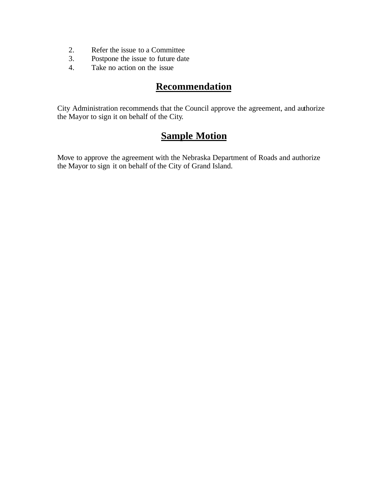- 2. Refer the issue to a Committee
- 3. Postpone the issue to future date
- 4. Take no action on the issue

## **Recommendation**

City Administration recommends that the Council approve the agreement, and authorize the Mayor to sign it on behalf of the City.

### **Sample Motion**

Move to approve the agreement with the Nebraska Department of Roads and authorize the Mayor to sign it on behalf of the City of Grand Island.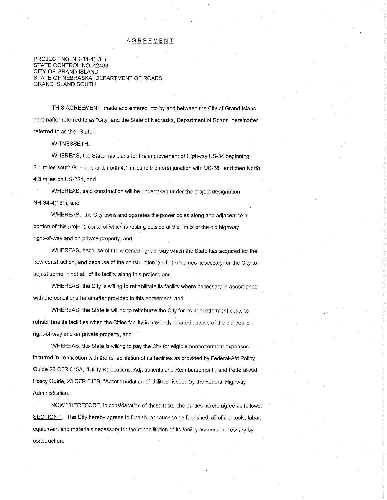#### **AGREEMENT**

PROJECT NO. NH-34-4(131) STATE CONTROL NO. 42433 CITY OF GRAND ISLAND STATE OF NEBRASKA, DEPARTMENT OF ROADS **GRAND ISLAND SOUTH** 

THIS AGREEMENT, made and entered into by and between the City of Grand Island. hereinafter referred to as "City" and the State of Nebraska, Department of Roads, hereinafter referred to as the "State".

**WITNESSETH:** 

WHEREAS, the State has plans for the improvement of Highway US-34 beginning

2.1 miles south Grand Island, north 4.1 miles to the north junction with US-281 and then North

4.3 miles on US-281, and

WHEREAS, said construction will be undertaken under the project designation NH-34-4(131), and

WHEREAS, the City owns and operates the power poles along and adjacent to a portion of this project, some of which is resting outside of the limits of the old highway right-of-way and on private property, and

WHEREAS, because of the widened right of way which the State has acquired for the new construction, and because of the construction itself, it becomes necessary for the City to adjust some, if not all, of its facility along this project, and

WHEREAS, the City is willing to rehabilitate its facility where necessary in accordance with the conditions hereinafter provided in this agreement, and

WHEREAS, the State is willing to reimburse the City for its nonbetterment costs to rehabilitate its facilities when the Cities facility is presently located outside of the old public right-of-way and on private property, and

WHEREAS, the State is willing to pay the City for eligible nonbetterment expenses incurred in connection with the rehabilitation of its facilities as provided by Federal-Aid Policy Guide 23 CFR 645A, "Utility Relocations, Adjustments and Reimbursement", and Federal-Aid Policy Guide, 23 CFR 645B, "Accommodation of Utilities" issued by the Federal Highway Administration.

NOW THEREFORE, in consideration of these facts, the parties hereto agree as follows: SECTION 1. The City hereby agrees to furnish, or cause to be furnished, all of the tools, labor, equipment and materials necessary for the rehabilitation of its facility as made necessary by construction.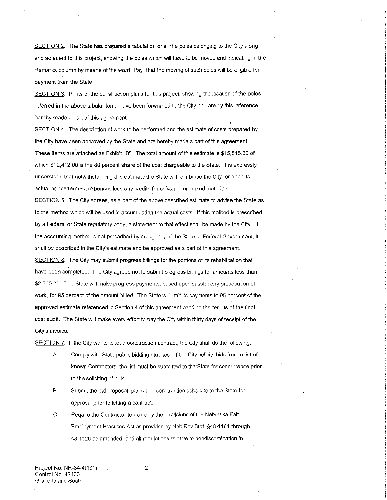SECTION 2. The State has prepared a tabulation of all the poles belonging to the City along and adjacent to this project, showing the poles which will have to be moved and indicating in the Remarks column by means of the word "Pay" that the moving of such poles will be eligible for payment from the State.

SECTION 3. Prints of the construction plans for this project, showing the location of the poles referred in the above tabular form, have been forwarded to the City and are by this reference hereby made a part of this agreement.

SECTION 4. The description of work to be performed and the estimate of costs prepared by the City have been approved by the State and are hereby made a part of this agreement. These items are attached as Exhibit "B". The total amount of this estimate is \$15,515.00 of which \$12,412.00 is the 80 percent share of the cost chargeable to the State. It is expressly understood that notwithstanding this estimate the State will reimburse the City for all of its actual nonbetterment expenses less any credits for salvaged or junked materials.

SECTION 5. The City agrees, as a part of the above described estimate to advise the State as to the method which will be used in accumulating the actual costs. If this method is prescribed by a Federal or State regulatory body, a statement to that effect shall be made by the City. If the accounting method is not prescribed by an agency of the State or Federal Government, it shall be described in the City's estimate and be approved as a part of this agreement. SECTION 6. The City may submit progress billings for the portions of its rehabilitation that have been completed. The City agrees not to submit progress billings for amounts less than \$2,500.00. The State will make progress payments, based upon satisfactory prosecution of work, for 95 percent of the amount billed. The State will limit its payments to 95 percent of the approved estimate referenced in Section 4 of this agreement pending the results of the final cost audit. The State will make every effort to pay the City within thirty days of receipt of the City's invoice.

SECTION 7. If the City wants to let a construction contract, the City shall do the following:

- A. Comply with State public bidding statutes. If the City solicits bids from a list of known Contractors, the list must be submitted to the State for concurrence prior to the soliciting of bids.
- **B.** Submit the bid proposal, plans and construction schedule to the State for approval prior to letting a contract.
- C. Require the Contractor to abide by the provisions of the Nebraska Fair Employment Practices Act as provided by Neb.Rev.Stat. §48-1101 through 48-1126 as amended, and all regulations relative to nondiscrimination in

Project No. NH-34-4(131) Control No. 42433 Grand Island South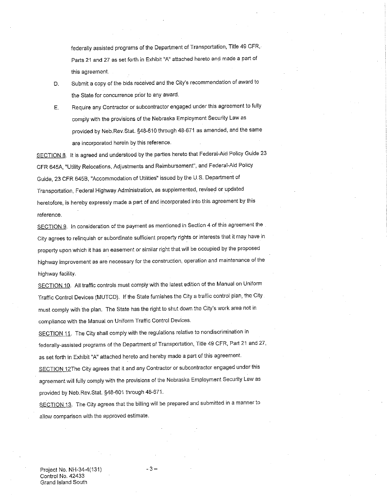federally assisted programs of the Department of Transportation, Title 49 CFR, Parts 21 and 27 as set forth in Exhibit "A" attached hereto and made a part of this agreement.

- Submit a copy of the bids received and the City's recommendation of award to D. the State for concurrence prior to any award.
- Require any Contractor or subcontractor engaged under this agreement to fully Ε. comply with the provisions of the Nebraska Employment Security Law as provided by Neb.Rev.Stat. §48-610 through 48-671 as amended, and the same are incorporated herein by this reference.

SECTION 8. It is agreed and understood by the parties hereto that Federal-Aid Policy Guide 23 CFR 645A, "Utility Relocations, Adjustments and Reimbursement", and Federal-Aid Policy Guide, 23 CFR 645B, "Accommodation of Utilities" issued by the U.S. Department of Transportation, Federal Highway Administration, as supplemented, revised or updated heretofore, is hereby expressly made a part of and incorporated into this agreement by this reference.

SECTION 9. In consideration of the payment as mentioned in Section 4 of this agreement the City agrees to relinquish or subordinate sufficient property rights or interests that it may have in property upon which it has an easement or similar right that will be occupied by the proposed highway improvement as are necessary for the construction, operation and maintenance of the highway facility.

SECTION 10. All traffic controls must comply with the latest edition of the Manual on Uniform Traffic Control Devices (MUTCD). If the State furnishes the City a traffic control plan, the City must comply with the plan. The State has the right to shut down the City's work area not in compliance with the Manual on Uniform Traffic Control Devices.

SECTION 11. The City shall comply with the regulations relative to nondiscrimination in federally-assisted programs of the Department of Transportation, Title 49 CFR, Part 21 and 27, as set forth in Exhibit "A" attached hereto and hereby made a part of this agreement.

SECTION 12The City agrees that it and any Contractor or subcontractor engaged under this agreement will fully comply with the provisions of the Nebraska Employment Security Law as provided by Neb.Rev.Stat. §48-601 through 48-671.

SECTION 13. The City agrees that the billing will be prepared and submitted in a manner to allow comparison with the approved estimate.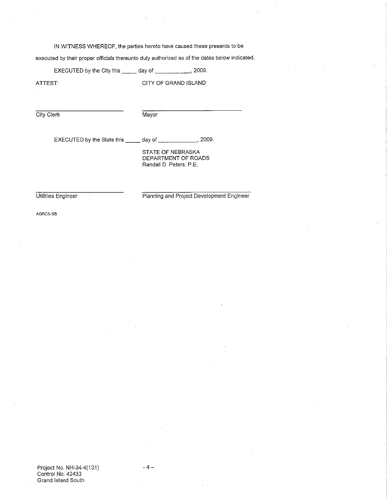IN WITNESS WHEREOF, the parties hereto have caused these presents to be

executed by their proper officials thereunto duly authorized as of the dates below indicated.

EXECUTED by the City this \_\_\_\_\_\_ day of \_\_\_\_\_\_\_\_\_\_\_\_\_\_, 2009. CITY OF GRAND ISLAND ATTEST: City Clerk Mayor

EXECUTED by the State this

day of \_ 2009.

STATE OF NEBRASKA<br>DEPARTMENT OF ROADS Randall D. Peters, P.E.

Utilities Engineer

Planning and Project Development Engineer

AGRC5-SB

Project No. NH-34-4(131)<br>Control No. 42433 Grand Island South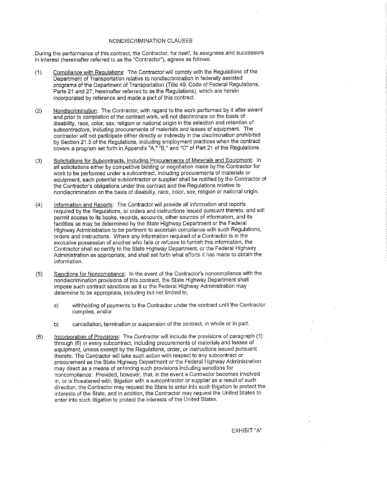#### NONDISCRIMINATION CLAUSES

During the performance of this contract, the Contractor, for itself, its assignees and successors in interest (hereinafter referred to as the "Contractor"), agrees as follows:

- Compliance with Regulations: The Contractor will comply with the Regulations of the  $(1)$ Department of Transportation relative to nondiscrimination in federally assisted programs of the Department of Transportation (Title 49, Code of Federal Regulations, Parts 21 and 27, hereinafter referred to as the Regulations), which are herein incorporated by reference and made a part of this contract.
- Nondiscrimination: The Contractor, with regard to the work performed by it after award  $(2)$ and prior to completion of the contract work, will not discriminate on the basis of disability, race, color, sex, religion or national origin in the selection and retention of subcontractors, including procurements of materials and leases of equipment. The contractor will not participate either directly or indirectly in the discrimination prohibited by Section 21.5 of the Regulations, including employment practices when the contract covers a program set forth in Appendix "A," "B," and "C" of Part 21 of the Regulations.
- Solicitations for Subcontracts, Including Procurements of Materials and Equipment: In  $(3)$ all solicitations either by competitive bidding or negotiation made by the Contractor for work to be performed under a subcontract, including procurements of materials or equipment, each potential subcontractor or supplier shall be notified by the Contractor of the Contractor's obligations under this contract and the Regulations relative to nondiscrimination on the basis of disability, race, color, sex, religion or national origin.
- Information and Reports: The Contractor will provide all information and reports  $(4)$ required by the Regulations, or orders and instructions issued pursuant thereto, and will permit access to its books, records, accounts, other sources of information, and its facilities as may be determined by the State Highway Department or the Federal Highway Administration to be pertinent to ascertain compliance with such Regulations, orders and instructions. Where any information required of a Contractor is in the exclusive possession of another who fails or refuses to furnish this information, the Contractor shall so certify to the State Highway Department, or the Federal Highway Administration as appropriate, and shall set forth what efforts it has made to obtain the information.
- Sanctions for Noncompliance: In the event of the Contractor's noncompliance with the  $(5)$ nondiscrimination provisions of this contract, the State Highway Department shall impose such contract sanctions as it or the Federal Highway Administration may determine to be appropriate, including but not limited to,
	- $a)$ withholding of payments to the Contractor under the contract until the Contractor complies, and/or
	- cancellation, termination or suspension of the contract, in whole or in part. b)
- Incorporation of Provisions: The Contractor will include the provisions of paragraph (1)  $(6)$ through (6) in every subcontract, including procurements of materials and leases of equipment, unless exempt by the Regulations, order, or instructions issued pursuant thereto. The Contractor will take such action with respect to any subcontract or procurement as the State Highway Department or the Federal Highway Administration may direct as a means of enforcing such provisions including sanctions for noncompliance: Provided, however, that, in the event a Contractor becomes involved in, or is threatened with, litigation with a subcontractor or supplier as a result of such direction, the Contractor may request the State to enter into such litigation to protect the interests of the State, and in addition, the Contractor may request the United States to enter into such litigation to protect the interests of the United States.

EXHIBIT "A"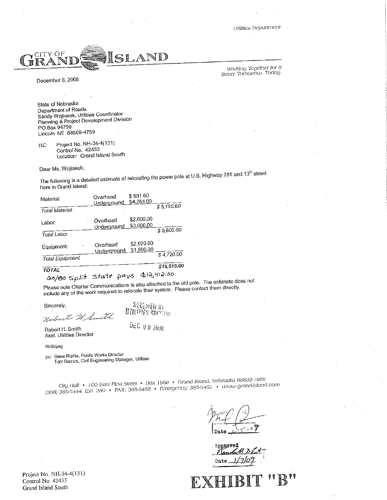

December 8, 2008

Working Together for a Better Tomorrow. Today.

State of Nebraska Department of Roads Sandy Wojtasek, Utilities Coordinator Planning & Project Development Division PO Box 94759 Lincoln NE 68509-4759

Project No. NH-34-4(131) RE: Control No. 42433 Location: Grand Island South

Dear Ms. Wojtasek:

The following is a detailed estimate of relocating the power pole at U.S. Highway 281 and 13<sup>th</sup> street here in Grand Island:

| Material:              | Overhead<br>Underground | \$931.60<br>\$4,264.00   |             |
|------------------------|-------------------------|--------------------------|-------------|
| <b>Total Material</b>  |                         |                          | \$5,195.60  |
| Labor:                 | Overhead<br>Underground | \$2,600.00<br>\$3,000,00 | \$5,600.00  |
| Total Labor            |                         |                          |             |
| Equipment:             | Overhead<br>Underground | \$2 920.00<br>\$1,800.00 | \$4,720.00  |
| <b>Total Equipment</b> |                         |                          |             |
| <b>TOTAL</b>           |                         |                          | \$15,515.00 |

ao/80 Split State pays \$12,412.00

Please note Charter Communications is also attached to the old pole. The estimate does not include any of the work required to relocate their system. Please contact them directly.

Sincerely,

ARIEWED IV UTION'S Marian

DEC 09 2008

Robert H. Smith Asst. Utilities Director

Robert 74

RHS/pag

pc: Steve Riehle, Public Works Director Tom Barnes, Civil Engineering Manager, Utilities

City Hall • 100 East First Street • Box 1968 • Grand Island, Nebraska 68802-1968 (308) 385-5444, Ext. 280 • FAX: 385-5488 • Emergency: 385-5461 • www.grand-island.com

Date

Approved Date

 $\mathbb{R}^n$ 

Project No. NH-34-4(131) Control No. 42433 Grand Island South